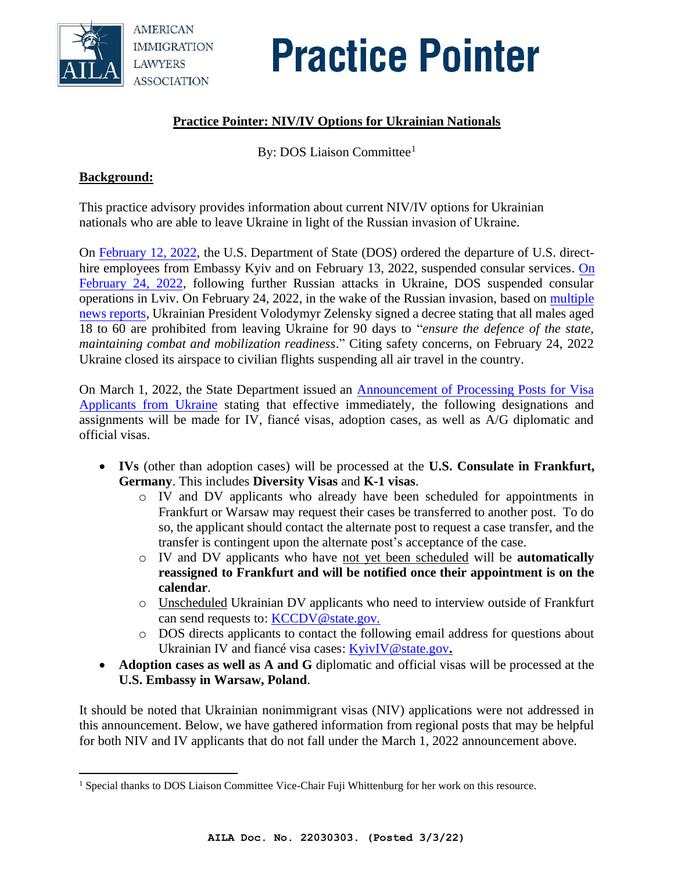

# **Practice Pointer**

# **Practice Pointer: NIV/IV Options for Ukrainian Nationals**

By: DOS Liaison Committee<sup>1</sup>

#### **Background:**

This practice advisory provides information about current NIV/IV options for Ukrainian nationals who are able to leave Ukraine in light of the Russian invasion of Ukraine.

On [February 12, 2022,](https://travel.state.gov/content/travel/en/traveladvisories/ea/suspension-of-consular-services-at-US-embassy-Kyiv.html) the U.S. Department of State (DOS) ordered the departure of U.S. directhire employees from Embassy Kyiv and on February 13, 2022, suspended consular services. On [February](https://ua.usembassy.gov/security-alert-attack-on-ukraine-022422/) 24, 2022, following further Russian attacks in Ukraine, DOS suspended consular operations in Lviv. On February 24, 2022, in the wake of the Russian invasion, based on [multiple](https://www.cnn.com/europe/live-news/ukraine-russia-news-02-24-22-intl/h_4309a4916d57670f85519210a07fb2c9)  [news reports,](https://www.cnn.com/europe/live-news/ukraine-russia-news-02-24-22-intl/h_4309a4916d57670f85519210a07fb2c9) Ukrainian President Volodymyr Zelensky signed a decree stating that all males aged 18 to 60 are prohibited from leaving Ukraine for 90 days to "*ensure the defence of the state, maintaining combat and mobilization readiness*." Citing safety concerns, on February 24, 2022 Ukraine closed its airspace to civilian flights suspending all air travel in the country.

On March 1, 2022, the State Department issued an [Announcement](https://travel.state.gov/content/travel/en/News/visas-news/announcement-of-processing-posts-for-visa-applicants-from-Ukraine.html) of Processing Posts for Visa [Applicants](https://travel.state.gov/content/travel/en/News/visas-news/announcement-of-processing-posts-for-visa-applicants-from-Ukraine.html) from Ukraine stating that effective immediately, the following designations and assignments will be made for IV, fiancé visas, adoption cases, as well as A/G diplomatic and official visas.

- **IVs** (other than adoption cases) will be processed at the **U.S. Consulate in Frankfurt, Germany**. This includes **Diversity Visas** and **K-1 visas**.
	- o IV and DV applicants who already have been scheduled for appointments in Frankfurt or Warsaw may request their cases be transferred to another post. To do so, the applicant should contact the alternate post to request a case transfer, and the transfer is contingent upon the alternate post's acceptance of the case.
	- o IV and DV applicants who have not yet been scheduled will be **automatically reassigned to Frankfurt and will be notified once their appointment is on the calendar**.
	- o Unscheduled Ukrainian DV applicants who need to interview outside of Frankfurt can send requests to: [KCCDV@state.gov](mailto:KCCDV@state.gov.)*.*
	- o DOS directs applicants to contact the following email address for questions about Ukrainian IV and fiancé visa cases: [KyivIV@state.gov](mailto:KyivIV@state.gov)**.**
- **Adoption cases as well as A and G** diplomatic and official visas will be processed at the **U.S. Embassy in Warsaw, Poland**.

It should be noted that Ukrainian nonimmigrant visas (NIV) applications were not addressed in this announcement. Below, we have gathered information from regional posts that may be helpful for both NIV and IV applicants that do not fall under the March 1, 2022 announcement above.

<sup>1</sup> Special thanks to DOS Liaison Committee Vice-Chair Fuji Whittenburg for her work on this resource.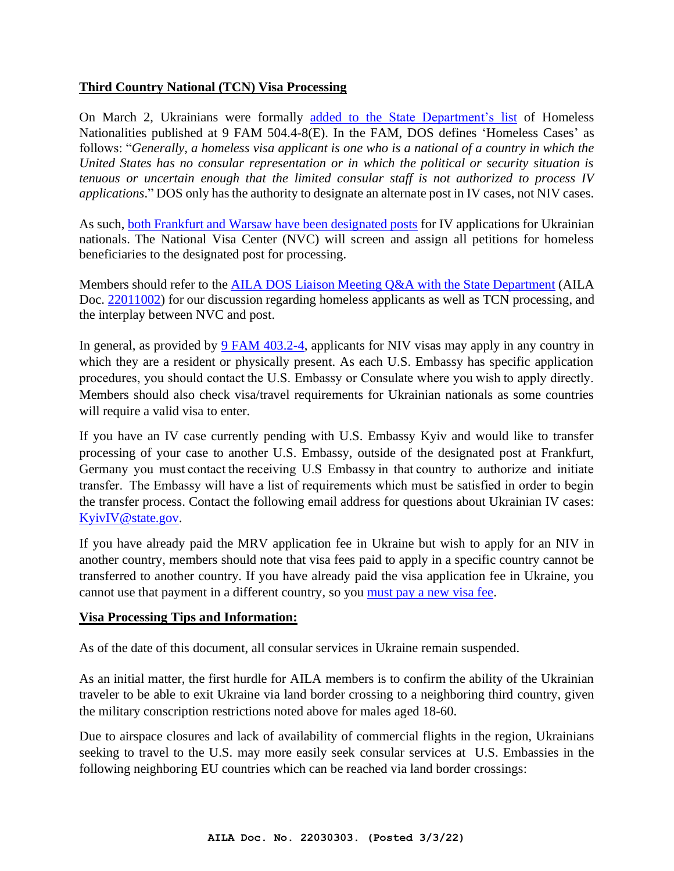## **Third Country National (TCN) Visa Processing**

On March 2, Ukrainians were formally [added to the State Department's list](https://fam.state.gov/FAM/09FAM/09FAM050404.html) of Homeless Nationalities published at 9 FAM 504.4-8(E). In the FAM, DOS defines 'Homeless Cases' as follows: "*Generally, a homeless visa applicant is one who is a national of a country in which the United States has no consular representation or in which the political or security situation is tenuous or uncertain enough that the limited consular staff is not authorized to process IV applications*." DOS only has the authority to designate an alternate post in IV cases, not NIV cases.

As such, [both Frankfurt and Warsaw have been designated posts](https://fam.state.gov/FAM/09FAM/09FAM050404.html) for IV applications for Ukrainian nationals. The National Visa Center (NVC) will screen and assign all petitions for homeless beneficiaries to the designated post for processing.

Members should refer to the [AILA DOS Liaison Meeting Q&A with the State Department](https://travel.state.gov/content/dam/visas/AILA/AILA-Meeting-Agenda-01-20-2022.pdf) (AILA Doc. [22011002\)](https://www.aila.org/advo-media/aila-practice-pointers-and-alerts/liaison-meeting-dos-visa-office-1-20-22?utm_source=Recent%20Postings%20Alert&utm_medium=Email&utm_campaign=RP%20Instant) for our discussion regarding homeless applicants as well as TCN processing, and the interplay between NVC and post.

In general, as provided by [9 FAM 403.2-4,](https://fam.state.gov/fam/09FAM/09FAM040302.html) applicants for NIV visas may apply in any country in which they are a resident or physically present. As each U.S. Embassy has specific application procedures, you should contact the U.S. Embassy or Consulate where you wish to apply directly. Members should also check visa/travel requirements for Ukrainian nationals as some countries will require a valid visa to enter.

If you have an IV case currently pending with U.S. Embassy Kyiv and would like to transfer processing of your case to another U.S. Embassy, outside of the designated post at Frankfurt, Germany you must contact the receiving U.S Embassy in that country to authorize and initiate transfer.  The Embassy will have a list of requirements which must be satisfied in order to begin the transfer process. Contact the following email address for questions about Ukrainian IV cases: [KyivIV@state.gov.](mailto:KyivIV@state.gov)

If you have already paid the MRV application fee in Ukraine but wish to apply for an NIV in another country, members should note that visa fees paid to apply in a specific country cannot be transferred to another country. If you have already paid the visa application fee in Ukraine, you cannot use that payment in a different country, so you [must pay a new visa fee.](https://ua.usembassy.gov/visas/nonimmigrant-visas/)

#### **Visa Processing Tips and Information:**

As of the date of this document, all consular services in Ukraine remain suspended.

As an initial matter, the first hurdle for AILA members is to confirm the ability of the Ukrainian traveler to be able to exit Ukraine via land border crossing to a neighboring third country, given the military conscription restrictions noted above for males aged 18-60.

Due to airspace closures and lack of availability of commercial flights in the region, Ukrainians seeking to travel to the U.S. may more easily seek consular services at U.S. Embassies in the following neighboring EU countries which can be reached via land border crossings: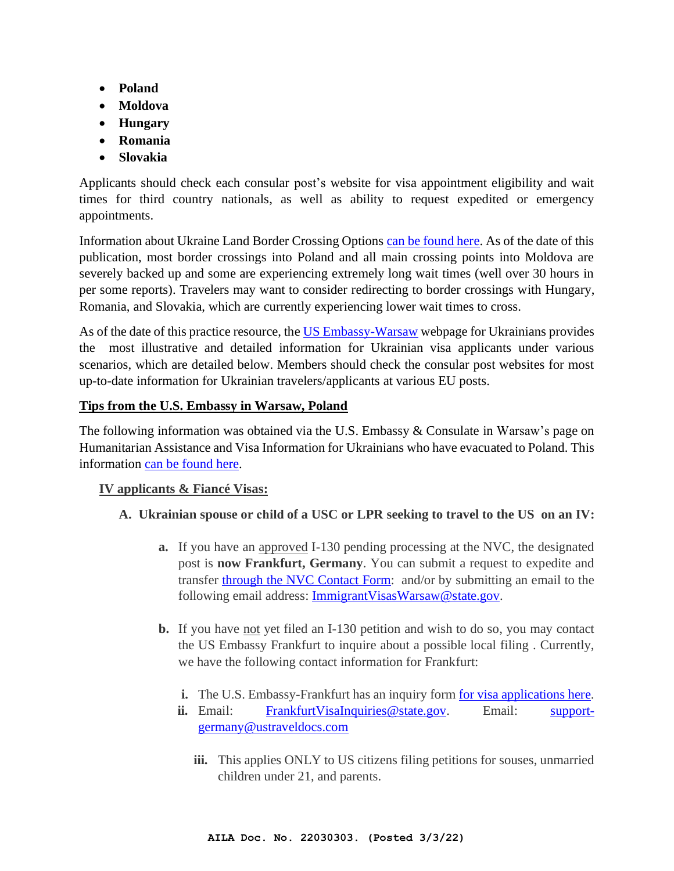- **Poland**
- **Moldova**
- **Hungary**
- **Romania**
- **Slovakia**

Applicants should check each consular post's website for visa appointment eligibility and wait times for third country nationals, as well as ability to request expedited or emergency appointments.

Information about Ukraine Land Border Crossing Options [can be found here.](https://ua.usembassy.gov/event-ukraine-land-border-crossing-options-february-27-2022/) As of the date of this publication, most border crossings into Poland and all main crossing points into Moldova are severely backed up and some are experiencing extremely long wait times (well over 30 hours in per some reports). Travelers may want to consider redirecting to border crossings with Hungary, Romania, and Slovakia, which are currently experiencing lower wait times to cross.

As of the date of this practice resource, the [US Embassy-Warsaw](https://pl.usembassy.gov/humanitarian_assistance_ukraine_pl/) webpage for Ukrainians provides the most illustrative and detailed information for Ukrainian visa applicants under various scenarios, which are detailed below. Members should check the consular post websites for most up-to-date information for Ukrainian travelers/applicants at various EU posts.

# **Tips from the U.S. Embassy in Warsaw, Poland**

The following information was obtained via the U.S. Embassy & Consulate in Warsaw's page on Humanitarian Assistance and Visa Information for Ukrainians who have evacuated to Poland. This information [can be found here.](https://pl.usembassy.gov/visas/humanitarian-assistance-and-visa-information-for-ukrainians/)

# **IV applicants & Fiancé Visas:**

# **A. Ukrainian spouse or child of a USC or LPR seeking to travel to the US on an IV:**

- **a.** If you have an approved I-130 pending processing at the NVC, the designated post is **now Frankfurt, Germany**. You can submit a request to expedite and transfer [through the NVC Contact](https://travel.state.gov/content/travel/en/us-visas/immigrate/national-visa-center/nvc-contact-information.htm) Form: and/or by submitting an email to the following email address: [ImmigrantVisasWarsaw@state.gov.](mailto:ImmigrantVisasWarsaw@state.gov)
- **b.** If you have <u>not</u> yet filed an I-130 petition and wish to do so, you may contact the US Embassy Frankfurt to inquire about a possible local filing . Currently, we have the following contact information for Frankfurt:
	- **i.** The U.S. Embassy-Frankfurt has an inquiry form [for visa applications here.](https://docs.google.com/forms/d/e/1FAIpQLScEvNF5RK-2bvqW7SicenUtdxrPxl-4XfdyfR6FWoC3uNRk4g/viewform)
	- **ii.** Email: [FrankfurtVisaInquiries@state.gov.](mailto:FrankfurtVisaInquiries@state.gov) Email: [support](mailto:support-germany@ustraveldocs.com)[germany@ustraveldocs.com](mailto:support-germany@ustraveldocs.com)
		- **iii.** This applies ONLY to US citizens filing petitions for souses, unmarried children under 21, and parents.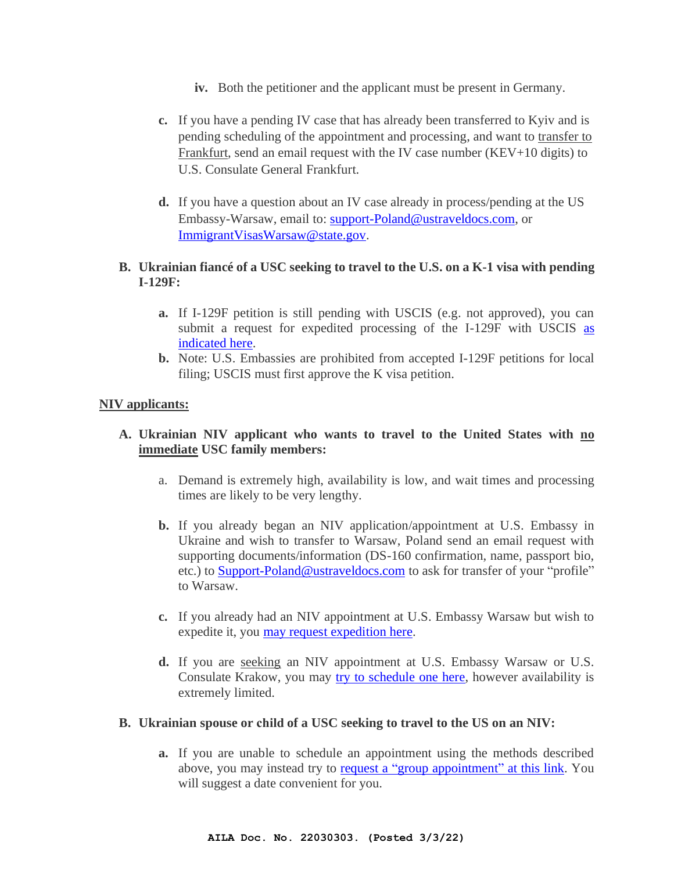- **iv.** Both the petitioner and the applicant must be present in Germany.
- **c.** If you have a pending IV case that has already been transferred to Kyiv and is pending scheduling of the appointment and processing, and want to transfer to Frankfurt, send an email request with the IV case number (KEV+10 digits) to U.S. Consulate General Frankfurt.
- **d.** If you have a question about an IV case already in process/pending at the US Embassy-Warsaw, email to: [support-Poland@ustraveldocs.com,](mailto:support-Poland@ustraveldocs.com) or [ImmigrantVisasWarsaw@state.gov.](mailto:ImmigrantVisasWarsaw@state.gov)

## **B. Ukrainian fiancé of a USC seeking to travel to the U.S. on a K-1 visa with pending I-129F:**

- **a.** If I-129F petition is still pending with USCIS (e.g. not approved), you can submit a request for expedited processing of the I-129F with USCIS [as](https://www.uscis.gov/forms/filing-guidance/how-to-make-an-expedite-request.)  [indicated here.](https://www.uscis.gov/forms/filing-guidance/how-to-make-an-expedite-request.)
- **b.** Note: U.S. Embassies are prohibited from accepted I-129F petitions for local filing; USCIS must first approve the K visa petition.

#### **NIV applicants:**

## **A. Ukrainian NIV applicant who wants to travel to the United States with no immediate USC family members:**

- a. Demand is extremely high, availability is low, and wait times and processing times are likely to be very lengthy.
- **b.** If you already began an NIV application/appointment at U.S. Embassy in Ukraine and wish to transfer to Warsaw, Poland send an email request with supporting documents/information (DS-160 confirmation, name, passport bio, etc.) to [Support-Poland@ustraveldocs.com](mailto:Support-Poland@ustraveldocs.com) to ask for transfer of your "profile" to Warsaw.
- **c.** If you already had an NIV appointment at U.S. Embassy Warsaw but wish to expedite it, you [may request expedition here.](https://www.ustraveldocs.com/pl/en/expedited-appointment)
- **d.** If you are seeking an NIV appointment at U.S. Embassy Warsaw or U.S. Consulate Krakow, you may [try to schedule one here,](https://www.ustraveldocs.com/pl/en/step-4) however availability is extremely limited.

#### **B. Ukrainian spouse or child of a USC seeking to travel to the US on an NIV:**

**a.** If you are unable to schedule an appointment using the methods described above, you may instead try to [request a "group appointment"](https://ustraveldocs.com/pl/en/group-appointments) at this link. You will suggest a date convenient for you.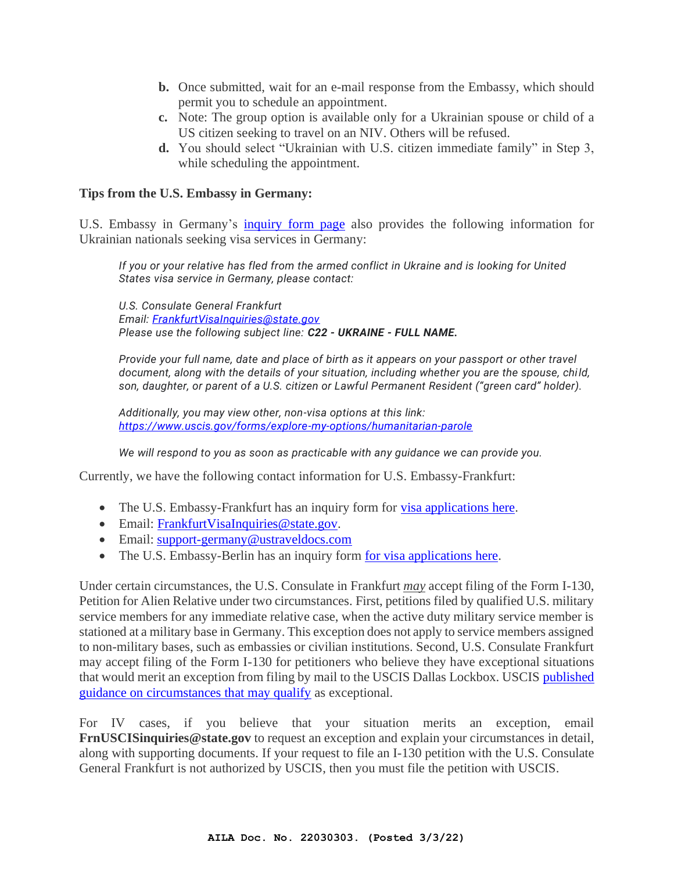- **b.** Once submitted, wait for an e-mail response from the Embassy, which should permit you to schedule an appointment.
- **c.** Note: The group option is available only for a Ukrainian spouse or child of a US citizen seeking to travel on an NIV. Others will be refused.
- **d.** You should select "Ukrainian with U.S. citizen immediate family" in Step 3, while scheduling the appointment.

#### **Tips from the U.S. Embassy in Germany:**

U.S. Embassy in Germany's [inquiry form page](https://docs.google.com/forms/d/e/1FAIpQLSfp4afYfLNA5HrEB6cmvJ5G2oy0tqpCu8YwBrzCHEGwpQ7uJw/viewform) also provides the following information for Ukrainian nationals seeking visa services in Germany:

*If you or your relative has fled from the armed conflict in Ukraine and is looking for United States visa service in Germany, please contact:*

*U.S. Consulate General Frankfurt Email: [FrankfurtVisaInquiries@state.gov](mailto:FrankfurtVisaInquiries@state.gov) Please use the following subject line: C22 - UKRAINE - FULL NAME.*

*Provide your full name, date and place of birth as it appears on your passport or other travel document, along with the details of your situation, including whether you are the spouse, chi ld, son, daughter, or parent of a U.S. citizen or Lawful Permanent Resident ("green card" holder).* 

*Additionally, you may view other, non-visa options at this link: [https://www.uscis.gov/forms/explore-my-options/humanitarian-parole](https://www.google.com/url?q=https://www.uscis.gov/forms/explore-my-options/humanitarian-parole&sa=D&source=editors&ust=1646333120867508&usg=AOvVaw3QmrHmfgTtKyzhK46NzRvD)*

*We will respond to you as soon as practicable with any guidance we can provide you.* 

Currently, we have the following contact information for U.S. Embassy-Frankfurt:

- The U.S. Embassy-Frankfurt has an inquiry form for [visa applications here.](https://docs.google.com/forms/d/e/1FAIpQLScEvNF5RK-2bvqW7SicenUtdxrPxl-4XfdyfR6FWoC3uNRk4g/viewform)
- Email: [FrankfurtVisaInquiries@state.gov.](mailto:FrankfurtVisaInquiries@state.gov)
- Email: [support-germany@ustraveldocs.com](mailto:support-germany@ustraveldocs.com)
- The U.S. Embassy-Berlin has an inquiry form [for visa applications here.](•%09https:/docs.google.com/forms/d/e/1FAIpQLSfp4afYfLNA5HrEB6cmvJ5G2oy0tqpCu8YwBrzCHEGwpQ7uJw/viewform)

Under certain circumstances, the U.S. Consulate in Frankfurt *may* accept filing of the Form I-130, Petition for Alien Relative under two circumstances. First, petitions filed by qualified U.S. military service members for any immediate relative case, when the active duty military service member is stationed at a military base in Germany. This exception does not apply to service members assigned to non-military bases, such as embassies or civilian institutions. Second, U.S. Consulate Frankfurt may accept filing of the Form I-130 for petitioners who believe they have exceptional situations that would merit an exception from filing by mail to the USCIS Dallas Lockbox. USCIS [published](https://www.ustraveldocs.com/de/de-iv-visaapplyinfo.asp)  [guidance on circumstances that may qualify](https://www.ustraveldocs.com/de/de-iv-visaapplyinfo.asp) as exceptional.

For IV cases, if you believe that your situation merits an exception, email **FrnUSCISinquiries@state.gov** to request an exception and explain your circumstances in detail, along with supporting documents. If your request to file an I-130 petition with the U.S. Consulate General Frankfurt is not authorized by USCIS, then you must file the petition with USCIS.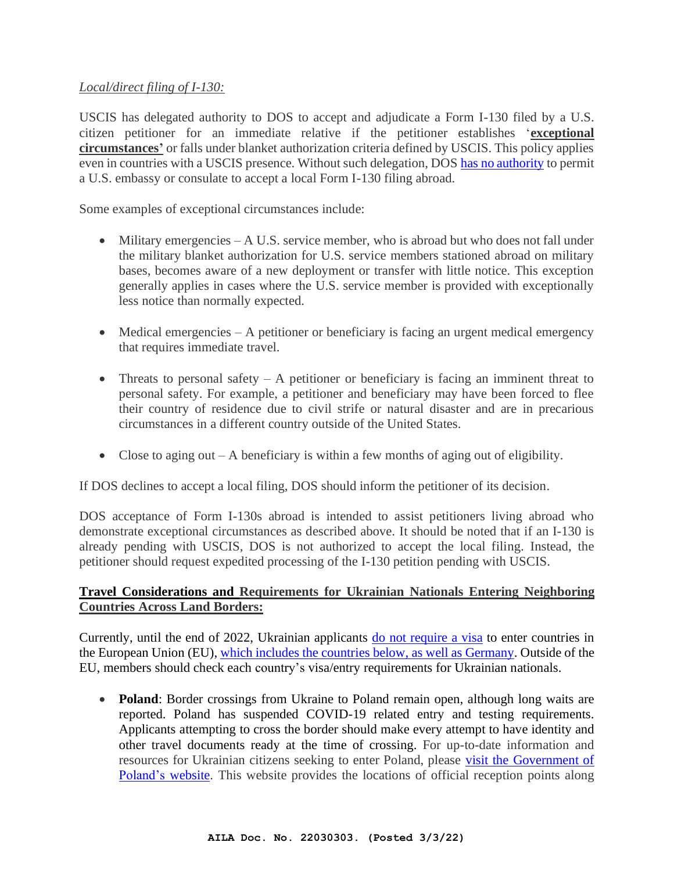## *Local/direct filing of I-130:*

USCIS has delegated authority to DOS to accept and adjudicate a Form I-130 filed by a U.S. citizen petitioner for an immediate relative if the petitioner establishes '**exceptional circumstances'** or falls under blanket authorization criteria defined by USCIS. This policy applies even in countries with a USCIS presence. Without such delegation, DOS [has no authority](https://www.uscis.gov/policy-manual/volume-6-part-b-chapter-3) to permit a U.S. embassy or consulate to accept a local Form I-130 filing abroad.

Some examples of exceptional circumstances include:

- Military emergencies A U.S. service member, who is abroad but who does not fall under the military blanket authorization for U.S. service members stationed abroad on military bases, becomes aware of a new deployment or transfer with little notice. This exception generally applies in cases where the U.S. service member is provided with exceptionally less notice than normally expected.
- Medical emergencies A petitioner or beneficiary is facing an urgent medical emergency that requires immediate travel.
- Threats to personal safety  $A$  petitioner or beneficiary is facing an imminent threat to personal safety. For example, a petitioner and beneficiary may have been forced to flee their country of residence due to civil strife or natural disaster and are in precarious circumstances in a different country outside of the United States.
- Close to aging out  $-A$  beneficiary is within a few months of aging out of eligibility.

If DOS declines to accept a local filing, DOS should inform the petitioner of its decision.

DOS acceptance of Form I-130s abroad is intended to assist petitioners living abroad who demonstrate exceptional circumstances as described above. It should be noted that if an I-130 is already pending with USCIS, DOS is not authorized to accept the local filing. Instead, the petitioner should request expedited processing of the I-130 petition pending with USCIS.

## **Travel Considerations and Requirements for Ukrainian Nationals Entering Neighboring Countries Across Land Borders:**

Currently, until the end of 2022, Ukrainian applicants [do not require a visa](https://visitukraine.today/blog/48/how-visa-free-travel-to-eu-countries-works) to enter countries in the European Union (EU), [which includes the countries below,](https://www.etiasvisa.com/etias-requirements/ukrainians) as well as Germany. Outside of the EU, members should check each country's visa/entry requirements for Ukrainian nationals.

• **Poland**: Border crossings from Ukraine to Poland remain open, although long waits are reported. Poland has suspended COVID-19 related entry and testing requirements. Applicants attempting to cross the border should make every attempt to have identity and other travel documents ready at the time of crossing. For up-to-date information and resources for Ukrainian citizens seeking to enter Poland, please [visit the Government of](https://www.gov.pl/web/udsc/ukraina-en)  [Poland's](https://www.gov.pl/web/udsc/ukraina-en) website. This website provides the locations of official reception points along